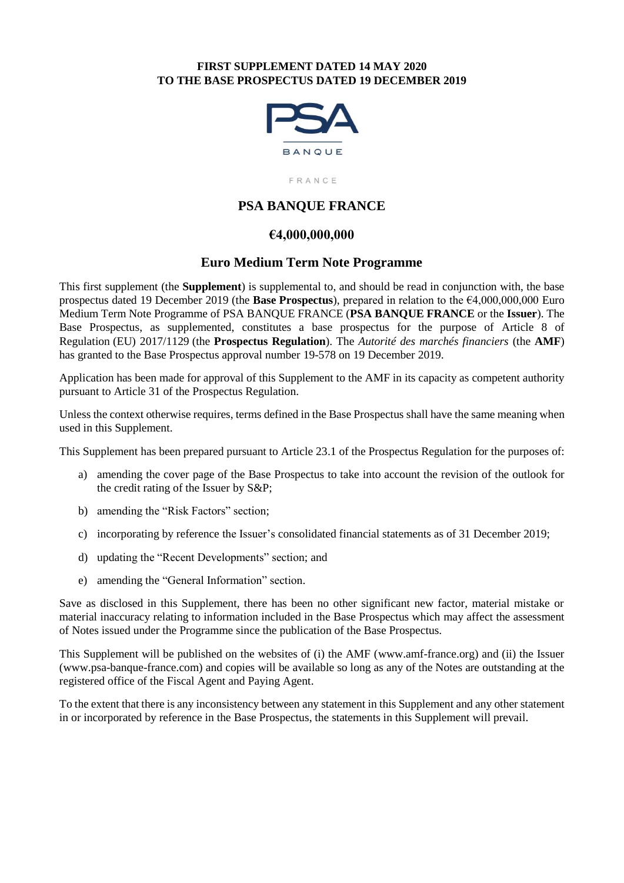## **FIRST SUPPLEMENT DATED 14 MAY 2020 TO THE BASE PROSPECTUS DATED 19 DECEMBER 2019**



FRANCE

# **PSA BANQUE FRANCE**

## **€4,000,000,000**

## **Euro Medium Term Note Programme**

This first supplement (the **Supplement**) is supplemental to, and should be read in conjunction with, the base prospectus dated 19 December 2019 (the **Base Prospectus**), prepared in relation to the €4,000,000,000 Euro Medium Term Note Programme of PSA BANQUE FRANCE (**PSA BANQUE FRANCE** or the **Issuer**). The Base Prospectus, as supplemented, constitutes a base prospectus for the purpose of Article 8 of Regulation (EU) 2017/1129 (the **Prospectus Regulation**). The *Autorité des marchés financiers* (the **AMF**) has granted to the Base Prospectus approval number 19-578 on 19 December 2019.

Application has been made for approval of this Supplement to the AMF in its capacity as competent authority pursuant to Article 31 of the Prospectus Regulation.

Unless the context otherwise requires, terms defined in the Base Prospectus shall have the same meaning when used in this Supplement.

This Supplement has been prepared pursuant to Article 23.1 of the Prospectus Regulation for the purposes of:

- a) amending the cover page of the Base Prospectus to take into account the revision of the outlook for the credit rating of the Issuer by S&P;
- b) amending the "Risk Factors" section;
- c) incorporating by reference the Issuer's consolidated financial statements as of 31 December 2019;
- d) updating the "Recent Developments" section; and
- e) amending the "General Information" section.

Save as disclosed in this Supplement, there has been no other significant new factor, material mistake or material inaccuracy relating to information included in the Base Prospectus which may affect the assessment of Notes issued under the Programme since the publication of the Base Prospectus.

This Supplement will be published on the websites of (i) the AMF (www.amf-france.org) and (ii) the Issuer (www.psa-banque-france.com) and copies will be available so long as any of the Notes are outstanding at the registered office of the Fiscal Agent and Paying Agent.

To the extent that there is any inconsistency between any statement in this Supplement and any other statement in or incorporated by reference in the Base Prospectus, the statements in this Supplement will prevail.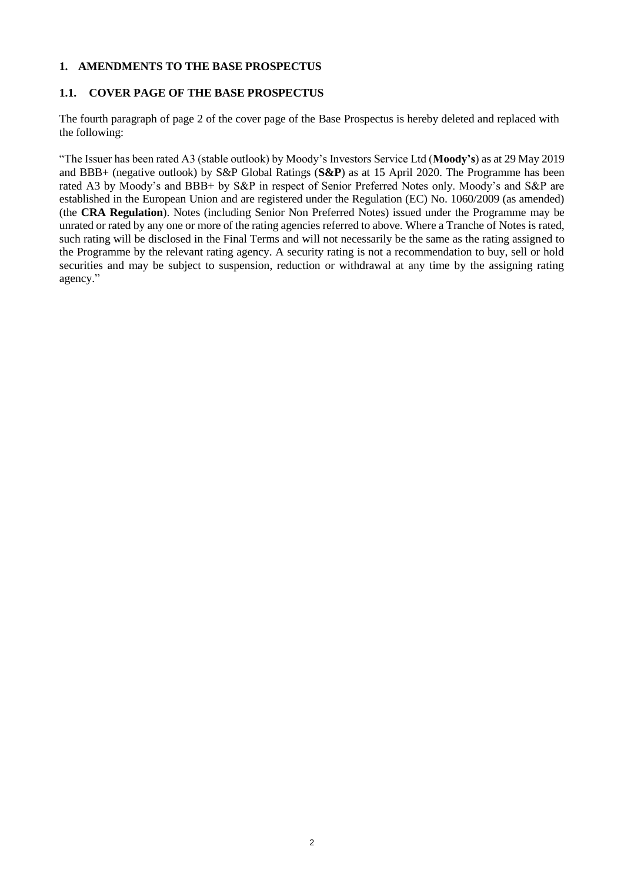#### **1. AMENDMENTS TO THE BASE PROSPECTUS**

## **1.1. COVER PAGE OF THE BASE PROSPECTUS**

The fourth paragraph of page 2 of the cover page of the Base Prospectus is hereby deleted and replaced with the following:

"The Issuer has been rated A3 (stable outlook) by Moody's Investors Service Ltd (**Moody's**) as at 29 May 2019 and BBB+ (negative outlook) by S&P Global Ratings (**S&P**) as at 15 April 2020. The Programme has been rated A3 by Moody's and BBB+ by S&P in respect of Senior Preferred Notes only. Moody's and S&P are established in the European Union and are registered under the Regulation (EC) No. 1060/2009 (as amended) (the **CRA Regulation**). Notes (including Senior Non Preferred Notes) issued under the Programme may be unrated or rated by any one or more of the rating agencies referred to above. Where a Tranche of Notes is rated, such rating will be disclosed in the Final Terms and will not necessarily be the same as the rating assigned to the Programme by the relevant rating agency. A security rating is not a recommendation to buy, sell or hold securities and may be subject to suspension, reduction or withdrawal at any time by the assigning rating agency."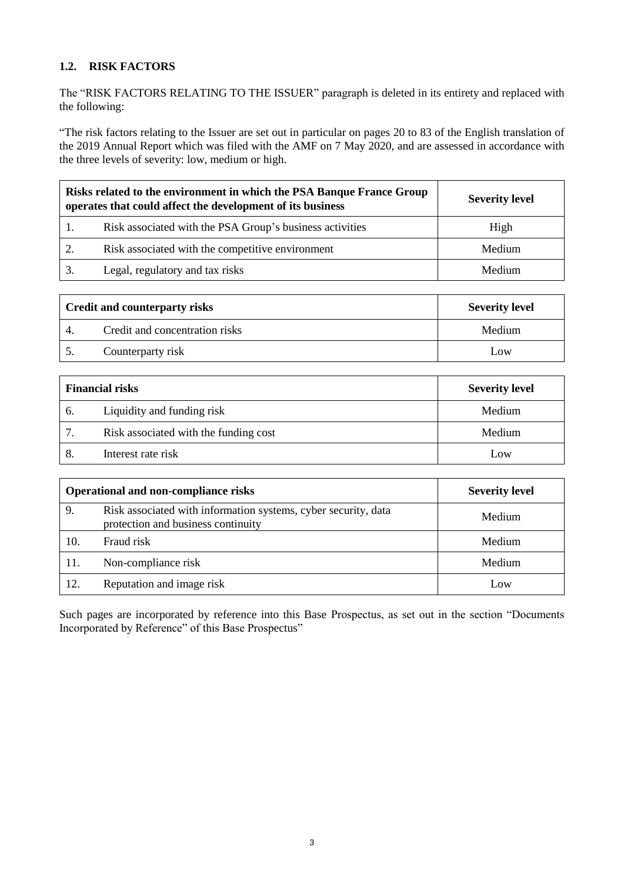# **1.2. RISK FACTORS**

The "RISK FACTORS RELATING TO THE ISSUER" paragraph is deleted in its entirety and replaced with the following:

"The risk factors relating to the Issuer are set out in particular on pages 20 to 83 of the English translation of the 2019 Annual Report which was filed with the AMF on 7 May 2020, and are assessed in accordance with the three levels of severity: low, medium or high.

| Risks related to the environment in which the PSA Banque France Group<br>operates that could affect the development of its business | <b>Severity level</b> |
|-------------------------------------------------------------------------------------------------------------------------------------|-----------------------|
| Risk associated with the PSA Group's business activities                                                                            | High                  |
| Risk associated with the competitive environment                                                                                    | Medium                |
| Legal, regulatory and tax risks                                                                                                     | Medium                |

| <b>Credit and counterparty risks</b> |                                | <b>Severity level</b> |  |
|--------------------------------------|--------------------------------|-----------------------|--|
|                                      | Credit and concentration risks | Medium                |  |
|                                      | Counterparty risk              | Low                   |  |

| <b>Financial risks</b> |                                       | <b>Severity level</b> |  |
|------------------------|---------------------------------------|-----------------------|--|
| -6.                    | Liquidity and funding risk            | Medium                |  |
|                        | Risk associated with the funding cost | Medium                |  |
|                        | Interest rate risk                    | Low                   |  |

|     | Operational and non-compliance risks                                                                 | <b>Severity level</b> |
|-----|------------------------------------------------------------------------------------------------------|-----------------------|
| 9.  | Risk associated with information systems, cyber security, data<br>protection and business continuity | Medium                |
| 10. | Fraud risk                                                                                           | Medium                |
| 11. | Non-compliance risk                                                                                  | Medium                |
| 12. | Reputation and image risk                                                                            | Low                   |

Such pages are incorporated by reference into this Base Prospectus, as set out in the section "Documents Incorporated by Reference" of this Base Prospectus"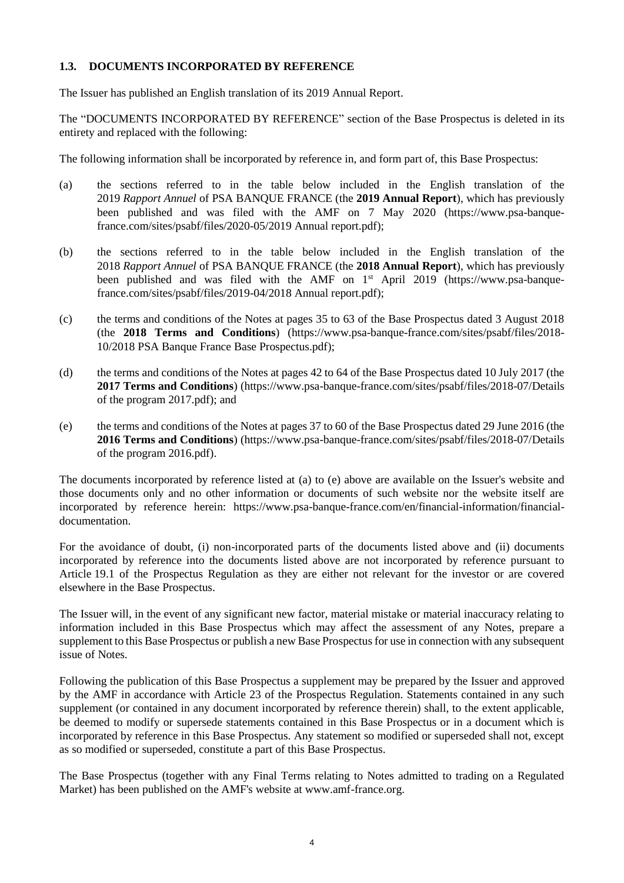## **1.3. DOCUMENTS INCORPORATED BY REFERENCE**

The Issuer has published an English translation of its 2019 Annual Report.

The "DOCUMENTS INCORPORATED BY REFERENCE" section of the Base Prospectus is deleted in its entirety and replaced with the following:

<span id="page-3-0"></span>The following information shall be incorporated by reference in, and form part of, this Base Prospectus:

- (a) the sections referred to in the table below included in the English translation of the 2019 *Rapport Annuel* of PSA BANQUE FRANCE (the **2019 Annual Report**), which has previously been published and was filed with the AMF on 7 May 2020 [\(https://www.psa-banque](https://www.psa-banque-france.com/sites/psabf/files/2020-05/2019%20Annual%20report.pdf)[france.com/sites/psabf/files/2020-05/2019](https://www.psa-banque-france.com/sites/psabf/files/2020-05/2019%20Annual%20report.pdf) Annual report.pdf);
- (b) the sections referred to in the table below included in the English translation of the 2018 *Rapport Annuel* of PSA BANQUE FRANCE (the **2018 Annual Report**), which has previously been published and was filed with the AMF on  $1<sup>st</sup>$  April 2019 [\(https://www.psa-banque](https://www.psa-banque-france.com/sites/psabf/files/2019-04/2018%20Annual%20report.pdf)[france.com/sites/psabf/files/2019-04/2018 Annual report.pdf\)](https://www.psa-banque-france.com/sites/psabf/files/2019-04/2018%20Annual%20report.pdf);
- (c) the terms and conditions of the Notes at pages 35 to 63 of the Base Prospectus dated 3 August 2018 (the **2018 Terms and Conditions**) [\(https://www.psa-banque-france.com/sites/psabf/files/2018-](https://www.psa-banque-france.com/sites/psabf/files/2018-10/2018%20PSA%20Banque%20France%20Base%20Prospectus.pdf) [10/2018 PSA Banque France Base Prospectus.pdf\)](https://www.psa-banque-france.com/sites/psabf/files/2018-10/2018%20PSA%20Banque%20France%20Base%20Prospectus.pdf);
- (d) the terms and conditions of the Notes at pages 42 to 64 of the Base Prospectus dated 10 July 2017 (the **2017 Terms and Conditions**) [\(https://www.psa-banque-france.com/sites/psabf/files/2018-07/Details](https://www.psa-banque-france.com/sites/psabf/files/2018-07/Details%20of%20the%20program%202017.pdf)  [of the program 2017.pdf\)](https://www.psa-banque-france.com/sites/psabf/files/2018-07/Details%20of%20the%20program%202017.pdf); and
- (e) the terms and conditions of the Notes at pages 37 to 60 of the Base Prospectus dated 29 June 2016 (the **2016 Terms and Conditions**) [\(https://www.psa-banque-france.com/sites/psabf/files/2018-07/Details](https://www.psa-banque-france.com/sites/psabf/files/2018-07/Details%20of%20the%20program%202016.pdf)  [of the program 2016.pdf\)](https://www.psa-banque-france.com/sites/psabf/files/2018-07/Details%20of%20the%20program%202016.pdf).

The documents incorporated by reference listed at [\(a\)](#page-3-0) to (e) above are available on the Issuer's website and those documents only and no other information or documents of such website nor the website itself are incorporated by reference herein: https://www.psa-banque-france.com/en/financial-information/financialdocumentation.

For the avoidance of doubt, (i) non-incorporated parts of the documents listed above and (ii) documents incorporated by reference into the documents listed above are not incorporated by reference pursuant to Article 19.1 of the Prospectus Regulation as they are either not relevant for the investor or are covered elsewhere in the Base Prospectus.

The Issuer will, in the event of any significant new factor, material mistake or material inaccuracy relating to information included in this Base Prospectus which may affect the assessment of any Notes, prepare a supplement to this Base Prospectus or publish a new Base Prospectus for use in connection with any subsequent issue of Notes.

Following the publication of this Base Prospectus a supplement may be prepared by the Issuer and approved by the AMF in accordance with Article 23 of the Prospectus Regulation. Statements contained in any such supplement (or contained in any document incorporated by reference therein) shall, to the extent applicable, be deemed to modify or supersede statements contained in this Base Prospectus or in a document which is incorporated by reference in this Base Prospectus. Any statement so modified or superseded shall not, except as so modified or superseded, constitute a part of this Base Prospectus.

The Base Prospectus (together with any Final Terms relating to Notes admitted to trading on a Regulated Market) has been published on the AMF's website at www.amf-france.org.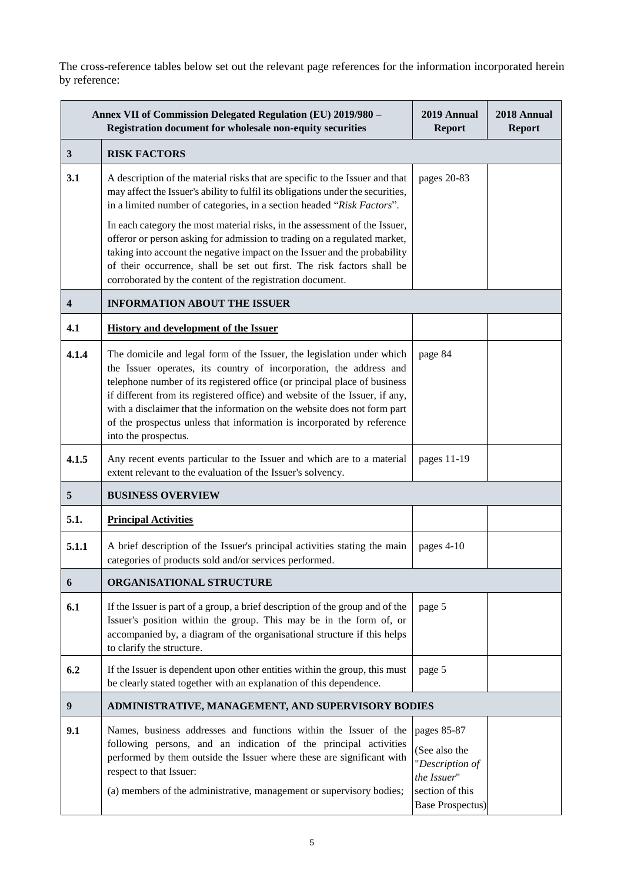The cross-reference tables below set out the relevant page references for the information incorporated herein by reference:

| Annex VII of Commission Delegated Regulation (EU) 2019/980 -<br>Registration document for wholesale non-equity securities |                                                                                                                                                                                                                                                                                                                                                                                                                                                                                        | 2019 Annual<br><b>Report</b>                                                                                 | 2018 Annual<br><b>Report</b> |
|---------------------------------------------------------------------------------------------------------------------------|----------------------------------------------------------------------------------------------------------------------------------------------------------------------------------------------------------------------------------------------------------------------------------------------------------------------------------------------------------------------------------------------------------------------------------------------------------------------------------------|--------------------------------------------------------------------------------------------------------------|------------------------------|
| 3                                                                                                                         | <b>RISK FACTORS</b>                                                                                                                                                                                                                                                                                                                                                                                                                                                                    |                                                                                                              |                              |
| 3.1                                                                                                                       | A description of the material risks that are specific to the Issuer and that<br>may affect the Issuer's ability to fulfil its obligations under the securities,<br>in a limited number of categories, in a section headed "Risk Factors".                                                                                                                                                                                                                                              | pages 20-83                                                                                                  |                              |
|                                                                                                                           | In each category the most material risks, in the assessment of the Issuer,<br>offeror or person asking for admission to trading on a regulated market,<br>taking into account the negative impact on the Issuer and the probability<br>of their occurrence, shall be set out first. The risk factors shall be<br>corroborated by the content of the registration document.                                                                                                             |                                                                                                              |                              |
| $\overline{\mathbf{4}}$                                                                                                   | <b>INFORMATION ABOUT THE ISSUER</b>                                                                                                                                                                                                                                                                                                                                                                                                                                                    |                                                                                                              |                              |
| 4.1                                                                                                                       | <b>History and development of the Issuer</b>                                                                                                                                                                                                                                                                                                                                                                                                                                           |                                                                                                              |                              |
| 4.1.4                                                                                                                     | The domicile and legal form of the Issuer, the legislation under which<br>the Issuer operates, its country of incorporation, the address and<br>telephone number of its registered office (or principal place of business<br>if different from its registered office) and website of the Issuer, if any,<br>with a disclaimer that the information on the website does not form part<br>of the prospectus unless that information is incorporated by reference<br>into the prospectus. | page 84                                                                                                      |                              |
| 4.1.5                                                                                                                     | Any recent events particular to the Issuer and which are to a material<br>extent relevant to the evaluation of the Issuer's solvency.                                                                                                                                                                                                                                                                                                                                                  | pages 11-19                                                                                                  |                              |
| 5                                                                                                                         | <b>BUSINESS OVERVIEW</b>                                                                                                                                                                                                                                                                                                                                                                                                                                                               |                                                                                                              |                              |
| 5.1.                                                                                                                      | <b>Principal Activities</b>                                                                                                                                                                                                                                                                                                                                                                                                                                                            |                                                                                                              |                              |
| 5.1.1                                                                                                                     | A brief description of the Issuer's principal activities stating the main<br>categories of products sold and/or services performed.                                                                                                                                                                                                                                                                                                                                                    | pages 4-10                                                                                                   |                              |
| 6                                                                                                                         | ORGANISATIONAL STRUCTURE                                                                                                                                                                                                                                                                                                                                                                                                                                                               |                                                                                                              |                              |
| 6.1                                                                                                                       | If the Issuer is part of a group, a brief description of the group and of the<br>Issuer's position within the group. This may be in the form of, or<br>accompanied by, a diagram of the organisational structure if this helps<br>to clarify the structure.                                                                                                                                                                                                                            | page 5                                                                                                       |                              |
| 6.2                                                                                                                       | If the Issuer is dependent upon other entities within the group, this must<br>be clearly stated together with an explanation of this dependence.                                                                                                                                                                                                                                                                                                                                       | page 5                                                                                                       |                              |
| 9                                                                                                                         | ADMINISTRATIVE, MANAGEMENT, AND SUPERVISORY BODIES                                                                                                                                                                                                                                                                                                                                                                                                                                     |                                                                                                              |                              |
| 9.1                                                                                                                       | Names, business addresses and functions within the Issuer of the<br>following persons, and an indication of the principal activities<br>performed by them outside the Issuer where these are significant with<br>respect to that Issuer:<br>(a) members of the administrative, management or supervisory bodies;                                                                                                                                                                       | pages 85-87<br>(See also the<br>"Description of<br>the Issuer"<br>section of this<br><b>Base Prospectus)</b> |                              |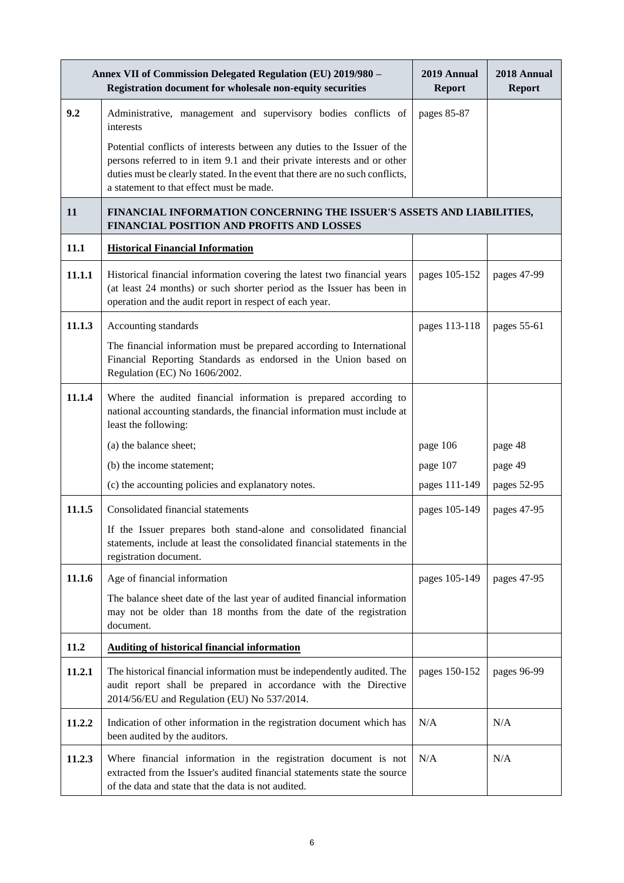|        | Annex VII of Commission Delegated Regulation (EU) 2019/980 -<br>Registration document for wholesale non-equity securities                                                                                                                                                         | 2019 Annual<br><b>Report</b> | 2018 Annual<br><b>Report</b> |
|--------|-----------------------------------------------------------------------------------------------------------------------------------------------------------------------------------------------------------------------------------------------------------------------------------|------------------------------|------------------------------|
| 9.2    | Administrative, management and supervisory bodies conflicts of<br>interests                                                                                                                                                                                                       | pages 85-87                  |                              |
|        | Potential conflicts of interests between any duties to the Issuer of the<br>persons referred to in item 9.1 and their private interests and or other<br>duties must be clearly stated. In the event that there are no such conflicts,<br>a statement to that effect must be made. |                              |                              |
| 11     | FINANCIAL INFORMATION CONCERNING THE ISSUER'S ASSETS AND LIABILITIES,<br>FINANCIAL POSITION AND PROFITS AND LOSSES                                                                                                                                                                |                              |                              |
| 11.1   | <b>Historical Financial Information</b>                                                                                                                                                                                                                                           |                              |                              |
| 11.1.1 | Historical financial information covering the latest two financial years<br>(at least 24 months) or such shorter period as the Issuer has been in<br>operation and the audit report in respect of each year.                                                                      | pages 105-152                | pages 47-99                  |
| 11.1.3 | Accounting standards                                                                                                                                                                                                                                                              | pages 113-118                | pages 55-61                  |
|        | The financial information must be prepared according to International<br>Financial Reporting Standards as endorsed in the Union based on<br>Regulation (EC) No 1606/2002.                                                                                                         |                              |                              |
| 11.1.4 | Where the audited financial information is prepared according to<br>national accounting standards, the financial information must include at<br>least the following:                                                                                                              |                              |                              |
|        | (a) the balance sheet;                                                                                                                                                                                                                                                            | page 106                     | page 48                      |
|        | (b) the income statement;                                                                                                                                                                                                                                                         | page 107                     | page 49                      |
|        | (c) the accounting policies and explanatory notes.                                                                                                                                                                                                                                | pages 111-149                | pages 52-95                  |
| 11.1.5 | Consolidated financial statements                                                                                                                                                                                                                                                 | pages 105-149                | pages 47-95                  |
|        | If the Issuer prepares both stand-alone and consolidated financial<br>statements, include at least the consolidated financial statements in the<br>registration document.                                                                                                         |                              |                              |
| 11.1.6 | Age of financial information                                                                                                                                                                                                                                                      | pages 105-149                | pages 47-95                  |
|        | The balance sheet date of the last year of audited financial information<br>may not be older than 18 months from the date of the registration<br>document.                                                                                                                        |                              |                              |
| 11.2   | <b>Auditing of historical financial information</b>                                                                                                                                                                                                                               |                              |                              |
| 11.2.1 | The historical financial information must be independently audited. The<br>audit report shall be prepared in accordance with the Directive<br>2014/56/EU and Regulation (EU) No 537/2014.                                                                                         | pages 150-152                | pages 96-99                  |
| 11.2.2 | Indication of other information in the registration document which has<br>been audited by the auditors.                                                                                                                                                                           | N/A                          | N/A                          |
| 11.2.3 | Where financial information in the registration document is not<br>extracted from the Issuer's audited financial statements state the source<br>of the data and state that the data is not audited.                                                                               | N/A                          | N/A                          |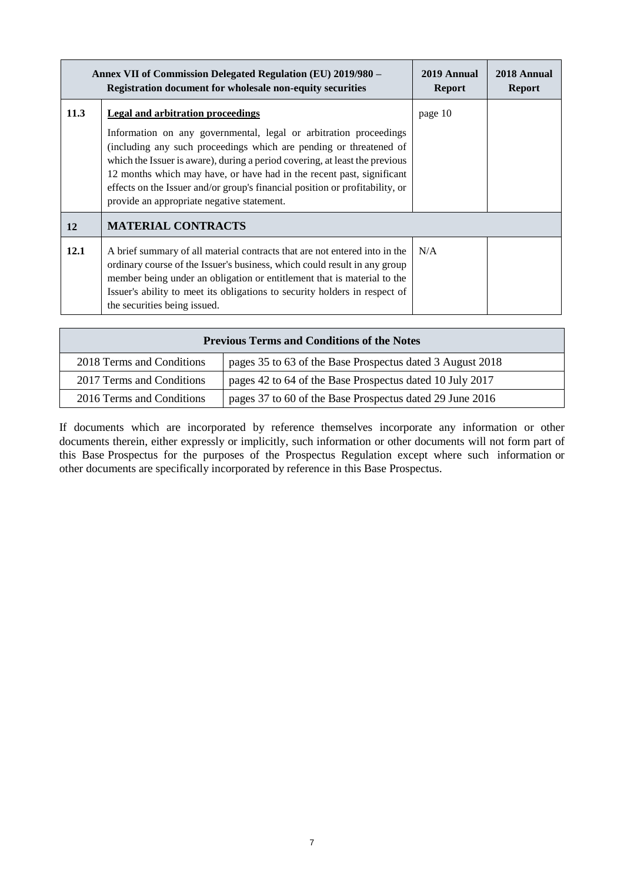|      | Annex VII of Commission Delegated Regulation (EU) 2019/980 -<br><b>Registration document for wholesale non-equity securities</b>                                                                                                                                                                                                                                                                                                                                   |         | 2018 Annual<br><b>Report</b> |
|------|--------------------------------------------------------------------------------------------------------------------------------------------------------------------------------------------------------------------------------------------------------------------------------------------------------------------------------------------------------------------------------------------------------------------------------------------------------------------|---------|------------------------------|
| 11.3 | Legal and arbitration proceedings<br>Information on any governmental, legal or arbitration proceedings<br>(including any such proceedings which are pending or threatened of<br>which the Issuer is aware), during a period covering, at least the previous<br>12 months which may have, or have had in the recent past, significant<br>effects on the Issuer and/or group's financial position or profitability, or<br>provide an appropriate negative statement. | page 10 |                              |
| 12   | <b>MATERIAL CONTRACTS</b>                                                                                                                                                                                                                                                                                                                                                                                                                                          |         |                              |
| 12.1 | A brief summary of all material contracts that are not entered into in the<br>ordinary course of the Issuer's business, which could result in any group<br>member being under an obligation or entitlement that is material to the<br>Issuer's ability to meet its obligations to security holders in respect of<br>the securities being issued.                                                                                                                   | N/A     |                              |

| <b>Previous Terms and Conditions of the Notes</b> |                                                           |  |
|---------------------------------------------------|-----------------------------------------------------------|--|
| 2018 Terms and Conditions                         | pages 35 to 63 of the Base Prospectus dated 3 August 2018 |  |
| 2017 Terms and Conditions                         | pages 42 to 64 of the Base Prospectus dated 10 July 2017  |  |
| 2016 Terms and Conditions                         | pages 37 to 60 of the Base Prospectus dated 29 June 2016  |  |

If documents which are incorporated by reference themselves incorporate any information or other documents therein, either expressly or implicitly, such information or other documents will not form part of this Base Prospectus for the purposes of the Prospectus Regulation except where such information or other documents are specifically incorporated by reference in this Base Prospectus.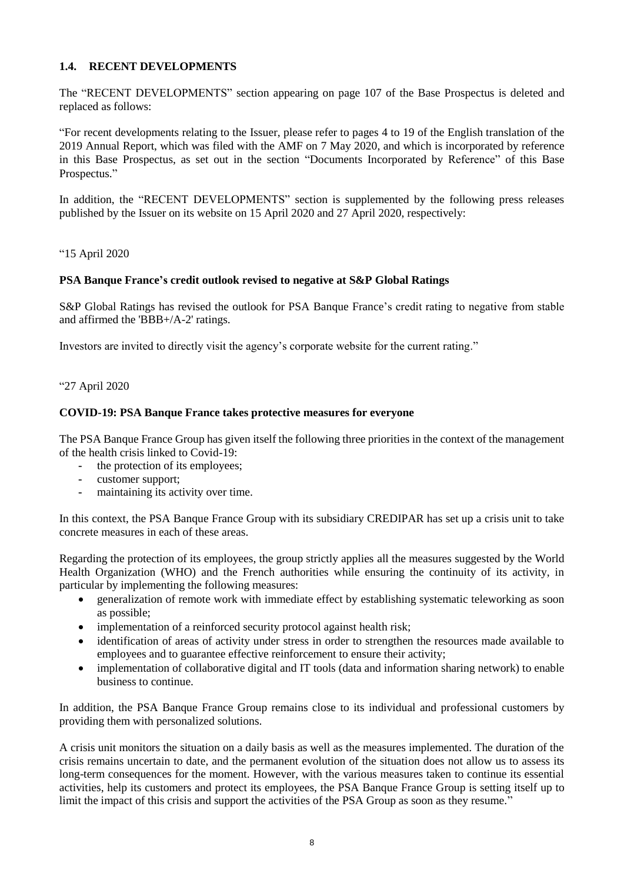## **1.4. RECENT DEVELOPMENTS**

The "RECENT DEVELOPMENTS" section appearing on page 107 of the Base Prospectus is deleted and replaced as follows:

"For recent developments relating to the Issuer, please refer to pages 4 to 19 of the English translation of the 2019 Annual Report, which was filed with the AMF on 7 May 2020, and which is incorporated by reference in this Base Prospectus, as set out in the section "Documents Incorporated by Reference" of this Base Prospectus."

In addition, the "RECENT DEVELOPMENTS" section is supplemented by the following press releases published by the Issuer on its website on 15 April 2020 and 27 April 2020, respectively:

"15 April 2020

## **PSA Banque France's credit outlook revised to negative at S&P Global Ratings**

S&P Global Ratings has revised the outlook for PSA Banque France's credit rating to negative from stable and affirmed the 'BBB+/A-2' ratings.

Investors are invited to directly visit the agency's corporate website for the current rating."

"27 April 2020

#### **COVID-19: PSA Banque France takes protective measures for everyone**

The PSA Banque France Group has given itself the following three priorities in the context of the management of the health crisis linked to Covid-19:

- **-** the protection of its employees;
- **-** customer support;
- **-** maintaining its activity over time.

In this context, the PSA Banque France Group with its subsidiary CREDIPAR has set up a crisis unit to take concrete measures in each of these areas.

Regarding the protection of its employees, the group strictly applies all the measures suggested by the World Health Organization (WHO) and the French authorities while ensuring the continuity of its activity, in particular by implementing the following measures:

- generalization of remote work with immediate effect by establishing systematic teleworking as soon as possible;
- implementation of a reinforced security protocol against health risk;
- identification of areas of activity under stress in order to strengthen the resources made available to employees and to guarantee effective reinforcement to ensure their activity;
- implementation of collaborative digital and IT tools (data and information sharing network) to enable business to continue.

In addition, the PSA Banque France Group remains close to its individual and professional customers by providing them with personalized solutions.

A crisis unit monitors the situation on a daily basis as well as the measures implemented. The duration of the crisis remains uncertain to date, and the permanent evolution of the situation does not allow us to assess its long-term consequences for the moment. However, with the various measures taken to continue its essential activities, help its customers and protect its employees, the PSA Banque France Group is setting itself up to limit the impact of this crisis and support the activities of the PSA Group as soon as they resume."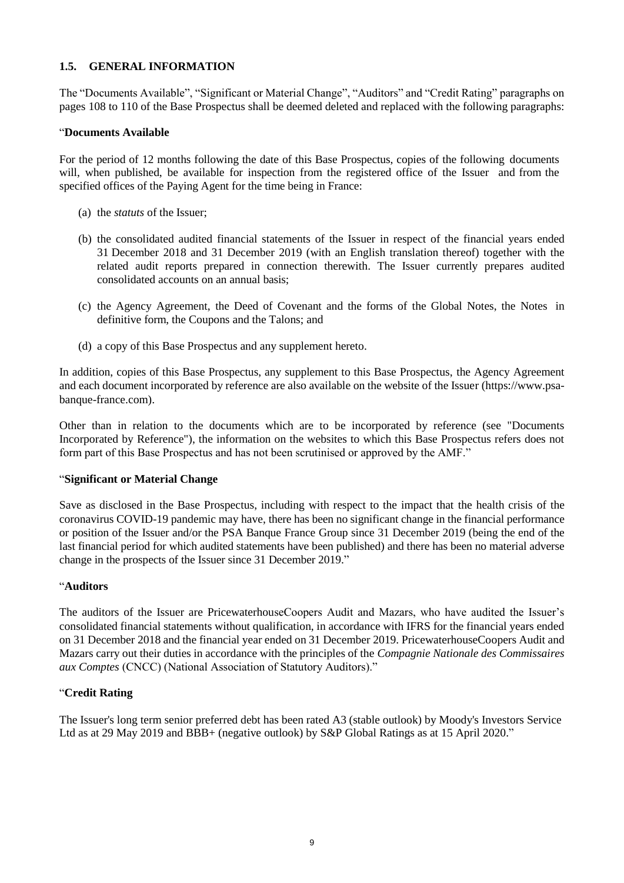## **1.5. GENERAL INFORMATION**

The "Documents Available", "Significant or Material Change", "Auditors" and "Credit Rating" paragraphs on pages 108 to 110 of the Base Prospectus shall be deemed deleted and replaced with the following paragraphs:

#### "**Documents Available**

For the period of 12 months following the date of this Base Prospectus, copies of the following documents will, when published, be available for inspection from the registered office of the Issuer and from the specified offices of the Paying Agent for the time being in France:

- (a) the *statuts* of the Issuer;
- (b) the consolidated audited financial statements of the Issuer in respect of the financial years ended 31 December 2018 and 31 December 2019 (with an English translation thereof) together with the related audit reports prepared in connection therewith. The Issuer currently prepares audited consolidated accounts on an annual basis;
- (c) the Agency Agreement, the Deed of Covenant and the forms of the Global Notes, the Notes in definitive form, the Coupons and the Talons; and
- (d) a copy of this Base Prospectus and any supplement hereto.

In addition, copies of this Base Prospectus, any supplement to this Base Prospectus, the Agency Agreement and each document incorporated by reference are also available on the website of the Issuer (https://www.psabanque-france.com).

Other than in relation to the documents which are to be incorporated by reference (see "Documents Incorporated by Reference"), the information on the websites to which this Base Prospectus refers does not form part of this Base Prospectus and has not been scrutinised or approved by the AMF."

#### "**Significant or Material Change**

Save as disclosed in the Base Prospectus, including with respect to the impact that the health crisis of the coronavirus COVID-19 pandemic may have, there has been no significant change in the financial performance or position of the Issuer and/or the PSA Banque France Group since 31 December 2019 (being the end of the last financial period for which audited statements have been published) and there has been no material adverse change in the prospects of the Issuer since 31 December 2019."

#### "**Auditors**

The auditors of the Issuer are PricewaterhouseCoopers Audit and Mazars, who have audited the Issuer's consolidated financial statements without qualification, in accordance with IFRS for the financial years ended on 31 December 2018 and the financial year ended on 31 December 2019. PricewaterhouseCoopers Audit and Mazars carry out their duties in accordance with the principles of the *Compagnie Nationale des Commissaires aux Comptes* (CNCC) (National Association of Statutory Auditors)."

#### "**Credit Rating**

The Issuer's long term senior preferred debt has been rated A3 (stable outlook) by Moody's Investors Service Ltd as at 29 May 2019 and BBB+ (negative outlook) by S&P Global Ratings as at 15 April 2020."